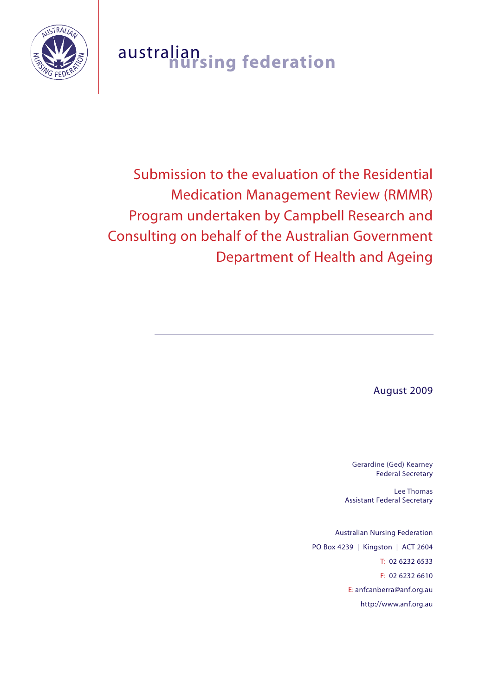

# australian **nursing federation**

# Submission to the evaluation of the Residential Medication Management Review (RMMR) Program undertaken by Campbell Research and Consulting on behalf of the Australian Government Department of Health and Ageing

August 2009

Gerardine (Ged) Kearney Federal Secretary

Lee Thomas Assistant Federal Secretary

Australian Nursing Federation PO Box 4239 | Kingston | ACT 2604 T: 02 6232 6533 F: 02 6232 6610 E: anfcanberra@anf.org.au http://www.anf.org.au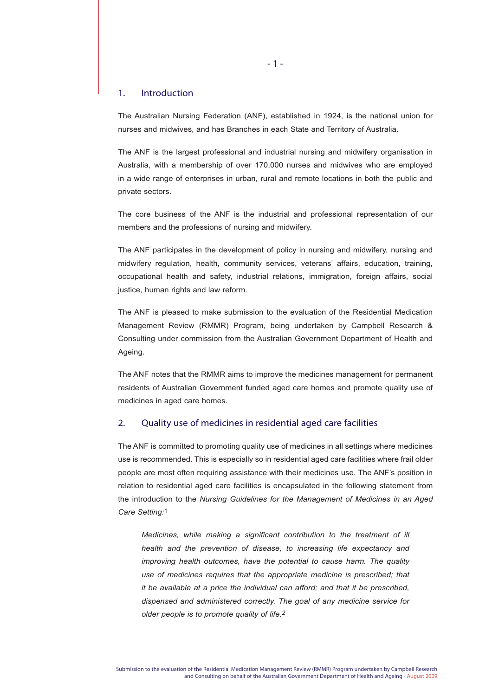# 1. Introduction

The Australian Nursing Federation (ANF), established in 1924, is the national union for nurses and midwives, and has Branches in each State and Territory of Australia.

The ANF is the largest professional and industrial nursing and midwifery organisation in Australia, with a membership of over 170,000 nurses and midwives who are employed in a wide range of enterprises in urban, rural and remote locations in both the public and private sectors.

The core business of the ANF is the industrial and professional representation of our members and the professions of nursing and midwifery.

The ANF participates in the development of policy in nursing and midwifery, nursing and midwifery regulation, health, community services, veterans' affairs, education, training, occupational health and safety, industrial relations, immigration, foreign affairs, social justice, human rights and law reform.

The ANF is pleased to make submission to the evaluation of the Residential Medication Management Review (RMMR) Program, being undertaken by Campbell Research & Consulting under commission from the Australian Government Department of Health and Ageing.

The ANF notes that the RMMR aims to improve the medicines management for permanent residents of Australian Government funded aged care homes and promote quality use of medicines in aged care homes.

# 2. Quality use of medicines in residential aged care facilities

The ANF is committed to promoting quality use of medicines in all settings where medicines use is recommended. This is especially so in residential aged care facilities where frail older people are most often requiring assistance with their medicines use. The ANF's position in relation to residential aged care facilities is encapsulated in the following statement from the introduction to the *Nursing Guidelines for the Management of Medicines in an Aged Care Setting:*1

*Medicines, while making a significant contribution to the treatment of ill health and the prevention of disease, to increasing life expectancy and improving health outcomes, have the potential to cause harm. The quality use of medicines requires that the appropriate medicine is prescribed; that it be available at a price the individual can afford; and that it be prescribed, dispensed and administered correctly. The goal of any medicine service for older people is to promote quality of life.2*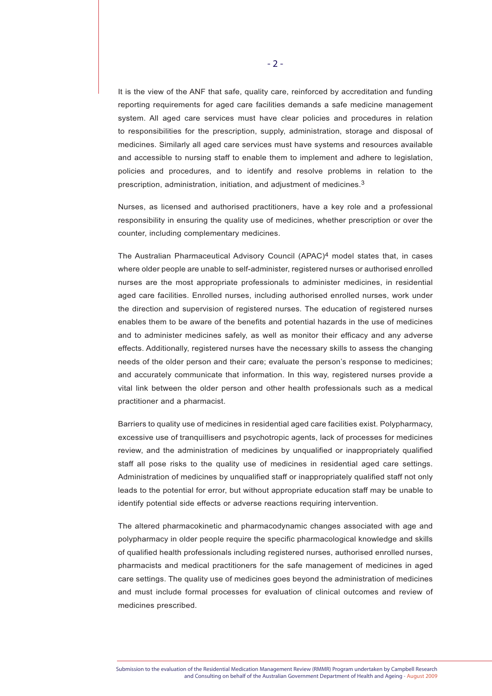It is the view of the ANF that safe, quality care, reinforced by accreditation and funding reporting requirements for aged care facilities demands a safe medicine management system. All aged care services must have clear policies and procedures in relation to responsibilities for the prescription, supply, administration, storage and disposal of medicines. Similarly all aged care services must have systems and resources available and accessible to nursing staff to enable them to implement and adhere to legislation, policies and procedures, and to identify and resolve problems in relation to the prescription, administration, initiation, and adjustment of medicines.3

Nurses, as licensed and authorised practitioners, have a key role and a professional responsibility in ensuring the quality use of medicines, whether prescription or over the counter, including complementary medicines.

The Australian Pharmaceutical Advisory Council  $(APAC)<sup>4</sup>$  model states that, in cases where older people are unable to self-administer, registered nurses or authorised enrolled nurses are the most appropriate professionals to administer medicines, in residential aged care facilities. Enrolled nurses, including authorised enrolled nurses, work under the direction and supervision of registered nurses. The education of registered nurses enables them to be aware of the benefits and potential hazards in the use of medicines and to administer medicines safely, as well as monitor their efficacy and any adverse effects. Additionally, registered nurses have the necessary skills to assess the changing needs of the older person and their care; evaluate the person's response to medicines; and accurately communicate that information. In this way, registered nurses provide a vital link between the older person and other health professionals such as a medical practitioner and a pharmacist.

Barriers to quality use of medicines in residential aged care facilities exist. Polypharmacy, excessive use of tranquillisers and psychotropic agents, lack of processes for medicines review, and the administration of medicines by unqualified or inappropriately qualified staff all pose risks to the quality use of medicines in residential aged care settings. Administration of medicines by unqualified staff or inappropriately qualified staff not only leads to the potential for error, but without appropriate education staff may be unable to identify potential side effects or adverse reactions requiring intervention.

The altered pharmacokinetic and pharmacodynamic changes associated with age and polypharmacy in older people require the specific pharmacological knowledge and skills of qualified health professionals including registered nurses, authorised enrolled nurses, pharmacists and medical practitioners for the safe management of medicines in aged care settings. The quality use of medicines goes beyond the administration of medicines and must include formal processes for evaluation of clinical outcomes and review of medicines prescribed.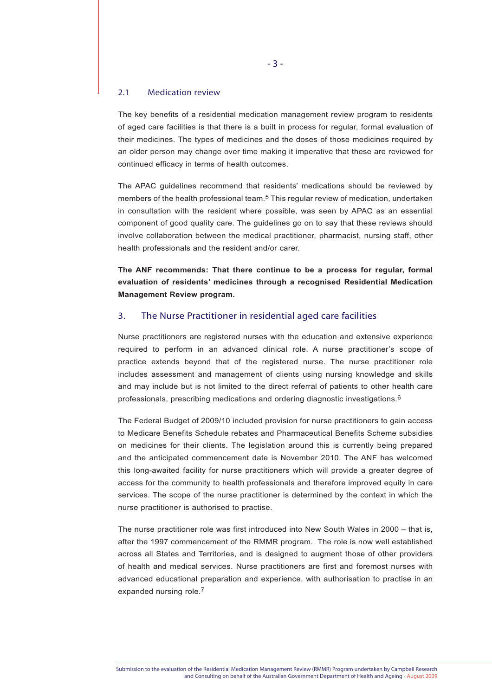#### 2.1 Medication review

The key benefits of a residential medication management review program to residents of aged care facilities is that there is a built in process for regular, formal evaluation of their medicines. The types of medicines and the doses of those medicines required by an older person may change over time making it imperative that these are reviewed for continued efficacy in terms of health outcomes.

The APAC guidelines recommend that residents' medications should be reviewed by members of the health professional team.<sup>5</sup> This regular review of medication, undertaken in consultation with the resident where possible, was seen by APAC as an essential component of good quality care. The guidelines go on to say that these reviews should involve collaboration between the medical practitioner, pharmacist, nursing staff, other health professionals and the resident and/or carer.

**The ANF recommends: That there continue to be a process for regular, formal evaluation of residents' medicines through a recognised Residential Medication Management Review program.**

### 3. The Nurse Practitioner in residential aged care facilities

Nurse practitioners are registered nurses with the education and extensive experience required to perform in an advanced clinical role. A nurse practitioner's scope of practice extends beyond that of the registered nurse. The nurse practitioner role includes assessment and management of clients using nursing knowledge and skills and may include but is not limited to the direct referral of patients to other health care professionals, prescribing medications and ordering diagnostic investigations.6

The Federal Budget of 2009/10 included provision for nurse practitioners to gain access to Medicare Benefits Schedule rebates and Pharmaceutical Benefits Scheme subsidies on medicines for their clients. The legislation around this is currently being prepared and the anticipated commencement date is November 2010. The ANF has welcomed this long-awaited facility for nurse practitioners which will provide a greater degree of access for the community to health professionals and therefore improved equity in care services. The scope of the nurse practitioner is determined by the context in which the nurse practitioner is authorised to practise.

The nurse practitioner role was first introduced into New South Wales in 2000 – that is, after the 1997 commencement of the RMMR program. The role is now well established across all States and Territories, and is designed to augment those of other providers of health and medical services. Nurse practitioners are first and foremost nurses with advanced educational preparation and experience, with authorisation to practise in an expanded nursing role.7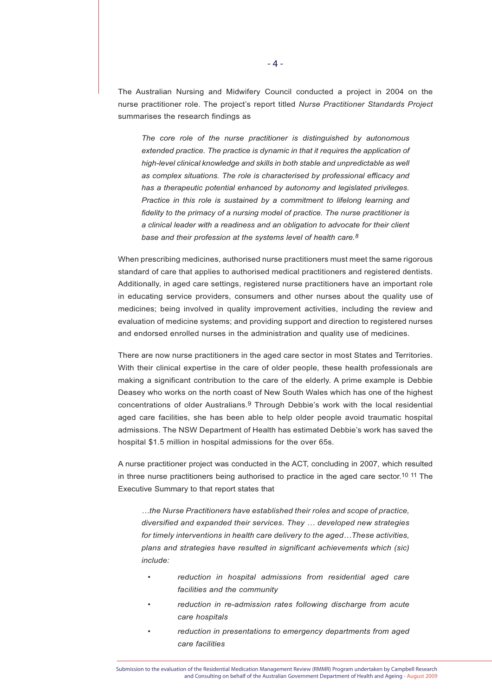The Australian Nursing and Midwifery Council conducted a project in 2004 on the nurse practitioner role. The project's report titled *Nurse Practitioner Standards Project*  summarises the research findings as

*The core role of the nurse practitioner is distinguished by autonomous extended practice. The practice is dynamic in that it requires the application of high-level clinical knowledge and skills in both stable and unpredictable as well as complex situations. The role is characterised by professional efficacy and has a therapeutic potential enhanced by autonomy and legislated privileges. Practice in this role is sustained by a commitment to lifelong learning and fidelity to the primacy of a nursing model of practice. The nurse practitioner is a clinical leader with a readiness and an obligation to advocate for their client base and their profession at the systems level of health care.8*

When prescribing medicines, authorised nurse practitioners must meet the same rigorous standard of care that applies to authorised medical practitioners and registered dentists. Additionally, in aged care settings, registered nurse practitioners have an important role in educating service providers, consumers and other nurses about the quality use of medicines; being involved in quality improvement activities, including the review and evaluation of medicine systems; and providing support and direction to registered nurses and endorsed enrolled nurses in the administration and quality use of medicines.

There are now nurse practitioners in the aged care sector in most States and Territories. With their clinical expertise in the care of older people, these health professionals are making a significant contribution to the care of the elderly. A prime example is Debbie Deasey who works on the north coast of New South Wales which has one of the highest concentrations of older Australians.9 Through Debbie's work with the local residential aged care facilities, she has been able to help older people avoid traumatic hospital admissions. The NSW Department of Health has estimated Debbie's work has saved the hospital \$1.5 million in hospital admissions for the over 65s.

A nurse practitioner project was conducted in the ACT, concluding in 2007, which resulted in three nurse practitioners being authorised to practice in the aged care sector.10 11 The Executive Summary to that report states that

*…the Nurse Practitioners have established their roles and scope of practice, diversified and expanded their services. They … developed new strategies for timely interventions in health care delivery to the aged…These activities, plans and strategies have resulted in significant achievements which (sic) include:*

- *reduction in hospital admissions from residential aged care facilities and the community*
- *reduction in re-admission rates following discharge from acute care hospitals*
- *reduction in presentations to emergency departments from aged care facilities*

Submission to the evaluation of the Residential Medication Management Review (RMMR) Program undertaken by Campbell Research and Consulting on behalf of the Australian Government Department of Health and Ageing - August 2009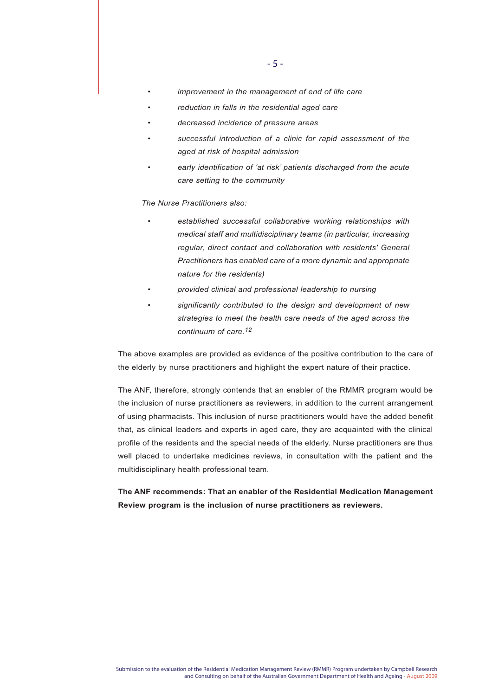- *improvement in the management of end of life care*
- *reduction in falls in the residential aged care*
- *decreased incidence of pressure areas*
- *successful introduction of a clinic for rapid assessment of the aged at risk of hospital admission*
- *early identification of 'at risk' patients discharged from the acute care setting to the community*

# *The Nurse Practitioners also:*

- *established successful collaborative working relationships with medical staff and multidisciplinary teams (in particular, increasing regular, direct contact and collaboration with residents' General Practitioners has enabled care of a more dynamic and appropriate nature for the residents)*
- *provided clinical and professional leadership to nursing*
	- *significantly contributed to the design and development of new strategies to meet the health care needs of the aged across the continuum of care.12*

The above examples are provided as evidence of the positive contribution to the care of the elderly by nurse practitioners and highlight the expert nature of their practice.

The ANF, therefore, strongly contends that an enabler of the RMMR program would be the inclusion of nurse practitioners as reviewers, in addition to the current arrangement of using pharmacists. This inclusion of nurse practitioners would have the added benefit that, as clinical leaders and experts in aged care, they are acquainted with the clinical profile of the residents and the special needs of the elderly. Nurse practitioners are thus well placed to undertake medicines reviews, in consultation with the patient and the multidisciplinary health professional team.

**The ANF recommends: That an enabler of the Residential Medication Management Review program is the inclusion of nurse practitioners as reviewers.**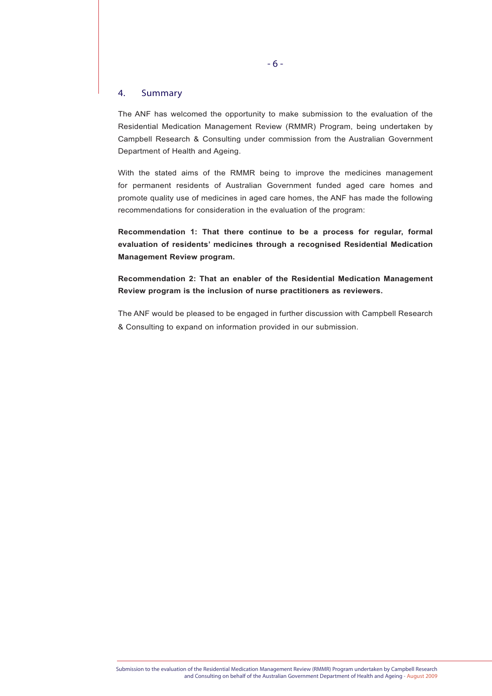# 4. Summary

The ANF has welcomed the opportunity to make submission to the evaluation of the Residential Medication Management Review (RMMR) Program, being undertaken by Campbell Research & Consulting under commission from the Australian Government Department of Health and Ageing.

With the stated aims of the RMMR being to improve the medicines management for permanent residents of Australian Government funded aged care homes and promote quality use of medicines in aged care homes, the ANF has made the following recommendations for consideration in the evaluation of the program:

**Recommendation 1: That there continue to be a process for regular, formal evaluation of residents' medicines through a recognised Residential Medication Management Review program.**

**Recommendation 2: That an enabler of the Residential Medication Management Review program is the inclusion of nurse practitioners as reviewers.**

The ANF would be pleased to be engaged in further discussion with Campbell Research & Consulting to expand on information provided in our submission.